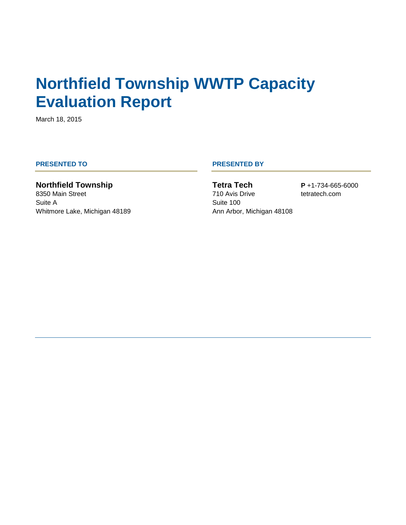# **Northfield Township WWTP Capacity Evaluation Report**

March 18, 2015

**Northfield Township** 8350 Main Street Suite A Whitmore Lake, Michigan 48189

#### **PRESENTED TO PRESENTED BY**

**Tetra Tech** 710 Avis Drive Suite 100 Ann Arbor, Michigan 48108 **P** +1-734-665-6000 tetratech.com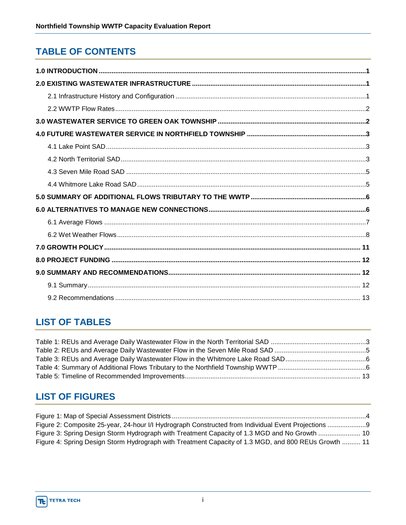## **TABLE OF CONTENTS**

## **LIST OF TABLES**

### **LIST OF FIGURES**

| Figure 3: Spring Design Storm Hydrograph with Treatment Capacity of 1.3 MGD and No Growth  10        |  |
|------------------------------------------------------------------------------------------------------|--|
| Figure 4: Spring Design Storm Hydrograph with Treatment Capacity of 1.3 MGD, and 800 REUs Growth  11 |  |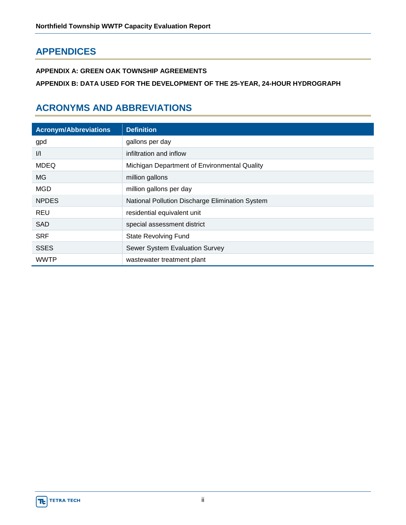### **APPENDICES**

**APPENDIX A: GREEN OAK TOWNSHIP AGREEMENTS**

**APPENDIX B: DATA USED FOR THE DEVELOPMENT OF THE 25-YEAR, 24-HOUR HYDROGRAPH**

### **ACRONYMS AND ABBREVIATIONS**

| <b>Acronym/Abbreviations</b> | <b>Definition</b>                               |
|------------------------------|-------------------------------------------------|
| gpd                          | gallons per day                                 |
| $\frac{1}{1}$                | infiltration and inflow                         |
| <b>MDEQ</b>                  | Michigan Department of Environmental Quality    |
| MG.                          | million gallons                                 |
| <b>MGD</b>                   | million gallons per day                         |
| <b>NPDES</b>                 | National Pollution Discharge Elimination System |
| <b>REU</b>                   | residential equivalent unit                     |
| <b>SAD</b>                   | special assessment district                     |
| <b>SRF</b>                   | <b>State Revolving Fund</b>                     |
| <b>SSES</b>                  | Sewer System Evaluation Survey                  |
| <b>WWTP</b>                  | wastewater treatment plant                      |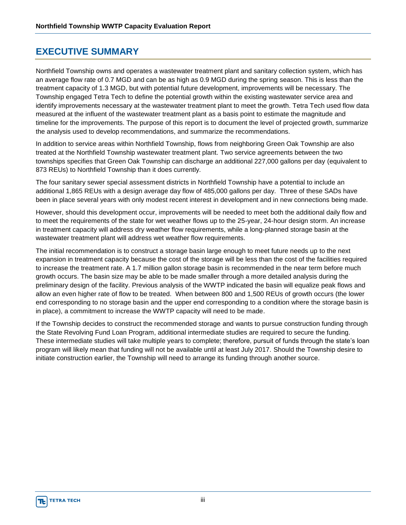#### **EXECUTIVE SUMMARY**

Northfield Township owns and operates a wastewater treatment plant and sanitary collection system, which has an average flow rate of 0.7 MGD and can be as high as 0.9 MGD during the spring season. This is less than the treatment capacity of 1.3 MGD, but with potential future development, improvements will be necessary. The Township engaged Tetra Tech to define the potential growth within the existing wastewater service area and identify improvements necessary at the wastewater treatment plant to meet the growth. Tetra Tech used flow data measured at the influent of the wastewater treatment plant as a basis point to estimate the magnitude and timeline for the improvements. The purpose of this report is to document the level of projected growth, summarize the analysis used to develop recommendations, and summarize the recommendations.

In addition to service areas within Northfield Township, flows from neighboring Green Oak Township are also treated at the Northfield Township wastewater treatment plant. Two service agreements between the two townships specifies that Green Oak Township can discharge an additional 227,000 gallons per day (equivalent to 873 REUs) to Northfield Township than it does currently.

The four sanitary sewer special assessment districts in Northfield Township have a potential to include an additional 1,865 REUs with a design average day flow of 485,000 gallons per day. Three of these SADs have been in place several years with only modest recent interest in development and in new connections being made.

However, should this development occur, improvements will be needed to meet both the additional daily flow and to meet the requirements of the state for wet weather flows up to the 25-year, 24-hour design storm. An increase in treatment capacity will address dry weather flow requirements, while a long-planned storage basin at the wastewater treatment plant will address wet weather flow requirements.

The initial recommendation is to construct a storage basin large enough to meet future needs up to the next expansion in treatment capacity because the cost of the storage will be less than the cost of the facilities required to increase the treatment rate. A 1.7 million gallon storage basin is recommended in the near term before much growth occurs. The basin size may be able to be made smaller through a more detailed analysis during the preliminary design of the facility. Previous analysis of the WWTP indicated the basin will equalize peak flows and allow an even higher rate of flow to be treated. When between 800 and 1,500 REUs of growth occurs (the lower end corresponding to no storage basin and the upper end corresponding to a condition where the storage basin is in place), a commitment to increase the WWTP capacity will need to be made.

If the Township decides to construct the recommended storage and wants to pursue construction funding through the State Revolving Fund Loan Program, additional intermediate studies are required to secure the funding. These intermediate studies will take multiple years to complete; therefore, pursuit of funds through the state's loan program will likely mean that funding will not be available until at least July 2017. Should the Township desire to initiate construction earlier, the Township will need to arrange its funding through another source.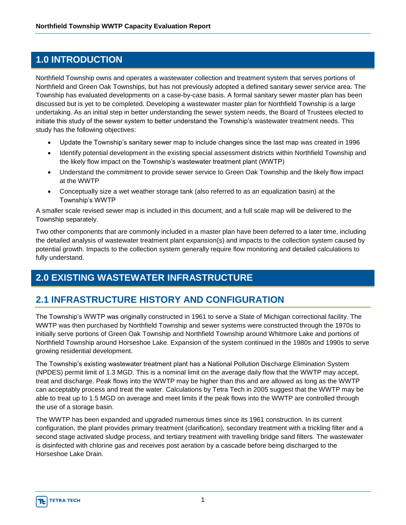#### **1.0 INTRODUCTION**

Northfield Township owns and operates a wastewater collection and treatment system that serves portions of Northfield and Green Oak Townships, but has not previously adopted a defined sanitary sewer service area. The Township has evaluated developments on a case-by-case basis. A formal sanitary sewer master plan has been discussed but is yet to be completed. Developing a wastewater master plan for Northfield Township is a large undertaking. As an initial step in better understanding the sewer system needs, the Board of Trustees elected to initiate this study of the sewer system to better understand the Township's wastewater treatment needs. This study has the following objectives:

- Update the Township's sanitary sewer map to include changes since the last map was created in 1996
- Identify potential development in the existing special assessment districts within Northfield Township and the likely flow impact on the Township's wastewater treatment plant (WWTP)
- Understand the commitment to provide sewer service to Green Oak Township and the likely flow impact at the WWTP
- Conceptually size a wet weather storage tank (also referred to as an equalization basin) at the Township's WWTP

A smaller scale revised sewer map is included in this document, and a full scale map will be delivered to the Township separately.

Two other components that are commonly included in a master plan have been deferred to a later time, including the detailed analysis of wastewater treatment plant expansion(s) and impacts to the collection system caused by potential growth. Impacts to the collection system generally require flow monitoring and detailed calculations to fully understand.

#### **2.0 EXISTING WASTEWATER INFRASTRUCTURE**

#### **2.1 INFRASTRUCTURE HISTORY AND CONFIGURATION**

The Township's WWTP was originally constructed in 1961 to serve a State of Michigan correctional facility. The WWTP was then purchased by Northfield Township and sewer systems were constructed through the 1970s to initially serve portions of Green Oak Township and Northfield Township around Whitmore Lake and portions of Northfield Township around Horseshoe Lake. Expansion of the system continued in the 1980s and 1990s to serve growing residential development.

The Township's existing wastewater treatment plant has a National Pollution Discharge Elimination System (NPDES) permit limit of 1.3 MGD. This is a nominal limit on the average daily flow that the WWTP may accept, treat and discharge. Peak flows into the WWTP may be higher than this and are allowed as long as the WWTP can acceptably process and treat the water. Calculations by Tetra Tech in 2005 suggest that the WWTP may be able to treat up to 1.5 MGD on average and meet limits if the peak flows into the WWTP are controlled through the use of a storage basin.

The WWTP has been expanded and upgraded numerous times since its 1961 construction. In its current configuration, the plant provides primary treatment (clarification), secondary treatment with a trickling filter and a second stage activated sludge process, and tertiary treatment with travelling bridge sand filters. The wastewater is disinfected with chlorine gas and receives post aeration by a cascade before being discharged to the Horseshoe Lake Drain.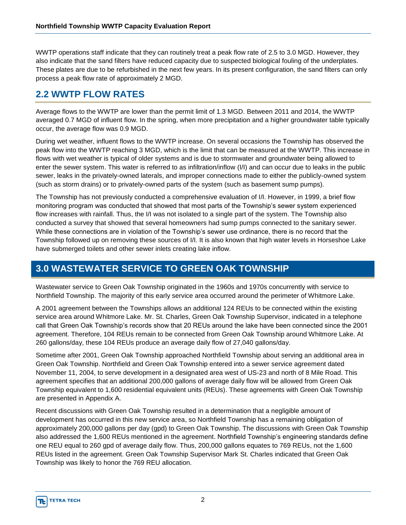WWTP operations staff indicate that they can routinely treat a peak flow rate of 2.5 to 3.0 MGD. However, they also indicate that the sand filters have reduced capacity due to suspected biological fouling of the underplates. These plates are due to be refurbished in the next few years. In its present configuration, the sand filters can only process a peak flow rate of approximately 2 MGD.

#### **2.2 WWTP FLOW RATES**

Average flows to the WWTP are lower than the permit limit of 1.3 MGD. Between 2011 and 2014, the WWTP averaged 0.7 MGD of influent flow. In the spring, when more precipitation and a higher groundwater table typically occur, the average flow was 0.9 MGD.

During wet weather, influent flows to the WWTP increase. On several occasions the Township has observed the peak flow into the WWTP reaching 3 MGD, which is the limit that can be measured at the WWTP. This increase in flows with wet weather is typical of older systems and is due to stormwater and groundwater being allowed to enter the sewer system. This water is referred to as infiltration/inflow (I/I) and can occur due to leaks in the public sewer, leaks in the privately-owned laterals, and improper connections made to either the publicly-owned system (such as storm drains) or to privately-owned parts of the system (such as basement sump pumps).

The Township has not previously conducted a comprehensive evaluation of I/I. However, in 1999, a brief flow monitoring program was conducted that showed that most parts of the Township's sewer system experienced flow increases with rainfall. Thus, the I/I was not isolated to a single part of the system. The Township also conducted a survey that showed that several homeowners had sump pumps connected to the sanitary sewer. While these connections are in violation of the Township's sewer use ordinance, there is no record that the Township followed up on removing these sources of I/I. It is also known that high water levels in Horseshoe Lake have submerged toilets and other sewer inlets creating lake inflow.

#### **3.0 WASTEWATER SERVICE TO GREEN OAK TOWNSHIP**

Wastewater service to Green Oak Township originated in the 1960s and 1970s concurrently with service to Northfield Township. The majority of this early service area occurred around the perimeter of Whitmore Lake.

A 2001 agreement between the Townships allows an additional 124 REUs to be connected within the existing service area around Whitmore Lake. Mr. St. Charles, Green Oak Township Supervisor, indicated in a telephone call that Green Oak Township's records show that 20 REUs around the lake have been connected since the 2001 agreement. Therefore, 104 REUs remain to be connected from Green Oak Township around Whitmore Lake. At 260 gallons/day, these 104 REUs produce an average daily flow of 27,040 gallons/day.

Sometime after 2001, Green Oak Township approached Northfield Township about serving an additional area in Green Oak Township. Northfield and Green Oak Township entered into a sewer service agreement dated November 11, 2004, to serve development in a designated area west of US-23 and north of 8 Mile Road. This agreement specifies that an additional 200,000 gallons of average daily flow will be allowed from Green Oak Township equivalent to 1,600 residential equivalent units (REUs). These agreements with Green Oak Township are presented in Appendix A.

Recent discussions with Green Oak Township resulted in a determination that a negligible amount of development has occurred in this new service area, so Northfield Township has a remaining obligation of approximately 200,000 gallons per day (gpd) to Green Oak Township. The discussions with Green Oak Township also addressed the 1,600 REUs mentioned in the agreement. Northfield Township's engineering standards define one REU equal to 260 gpd of average daily flow. Thus, 200,000 gallons equates to 769 REUs, not the 1,600 REUs listed in the agreement. Green Oak Township Supervisor Mark St. Charles indicated that Green Oak Township was likely to honor the 769 REU allocation.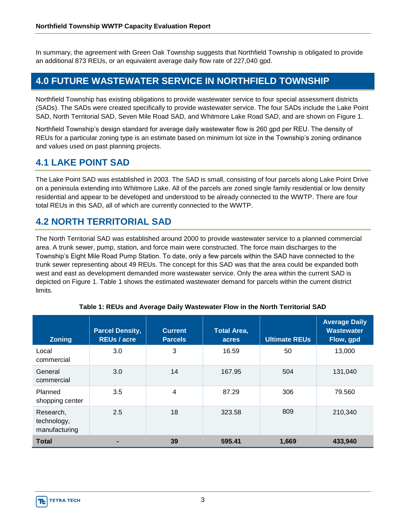In summary, the agreement with Green Oak Township suggests that Northfield Township is obligated to provide an additional 873 REUs, or an equivalent average daily flow rate of 227,040 gpd.

#### **4.0 FUTURE WASTEWATER SERVICE IN NORTHFIELD TOWNSHIP**

Northfield Township has existing obligations to provide wastewater service to four special assessment districts (SADs). The SADs were created specifically to provide wastewater service. The four SADs include the Lake Point SAD, North Territorial SAD, Seven Mile Road SAD, and Whitmore Lake Road SAD, and are shown on Figure 1.

Northfield Township's design standard for average daily wastewater flow is 260 gpd per REU. The density of REUs for a particular zoning type is an estimate based on minimum lot size in the Township's zoning ordinance and values used on past planning projects.

#### **4.1 LAKE POINT SAD**

The Lake Point SAD was established in 2003. The SAD is small, consisting of four parcels along Lake Point Drive on a peninsula extending into Whitmore Lake. All of the parcels are zoned single family residential or low density residential and appear to be developed and understood to be already connected to the WWTP. There are four total REUs in this SAD, all of which are currently connected to the WWTP.

#### **4.2 NORTH TERRITORIAL SAD**

The North Territorial SAD was established around 2000 to provide wastewater service to a planned commercial area. A trunk sewer, pump, station, and force main were constructed. The force main discharges to the Township's Eight Mile Road Pump Station. To date, only a few parcels within the SAD have connected to the trunk sewer representing about 49 REUs. The concept for this SAD was that the area could be expanded both west and east as development demanded more wastewater service. Only the area within the current SAD is depicted on Figure 1. Table 1 shows the estimated wastewater demand for parcels within the current district limits.

| <b>Zoning</b>                             | <b>Parcel Density,</b><br><b>REUs / acre</b> | <b>Current</b><br><b>Parcels</b> | <b>Total Area,</b><br>acres | <b>Ultimate REUs</b> | <b>Average Daily</b><br><b>Wastewater</b><br>Flow, gpd |
|-------------------------------------------|----------------------------------------------|----------------------------------|-----------------------------|----------------------|--------------------------------------------------------|
| Local<br>commercial                       | 3.0                                          | 3                                | 16.59                       | 50                   | 13,000                                                 |
| General<br>commercial                     | 3.0                                          | 14                               | 167.95                      | 504                  | 131,040                                                |
| Planned<br>shopping center                | 3.5                                          | 4                                | 87.29                       | 306                  | 79.560                                                 |
| Research,<br>technology,<br>manufacturing | 2.5                                          | 18                               | 323.58                      | 809                  | 210,340                                                |
| <b>Total</b>                              |                                              | 39                               | 595.41                      | 1,669                | 433,940                                                |

#### **Table 1: REUs and Average Daily Wastewater Flow in the North Territorial SAD**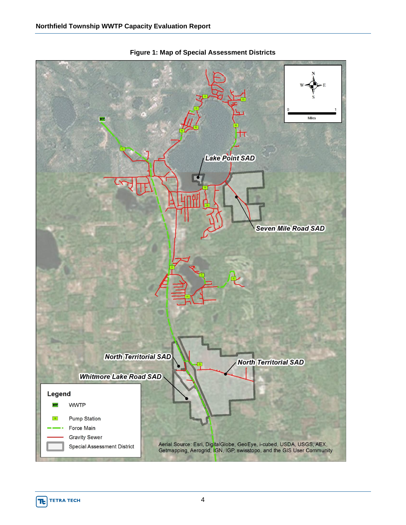

**Figure 1: Map of Special Assessment Districts**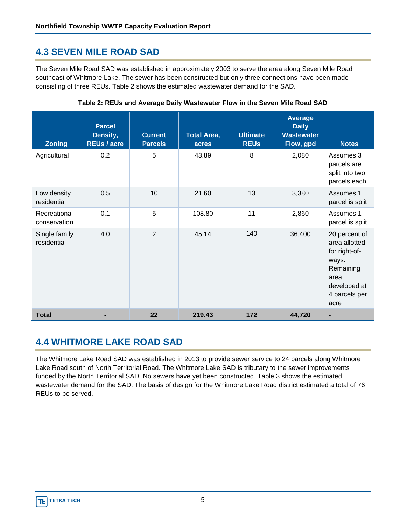### **4.3 SEVEN MILE ROAD SAD**

The Seven Mile Road SAD was established in approximately 2003 to serve the area along Seven Mile Road southeast of Whitmore Lake. The sewer has been constructed but only three connections have been made consisting of three REUs. Table 2 shows the estimated wastewater demand for the SAD.

| <b>Zoning</b>                | <b>Parcel</b><br>Density,<br><b>REUs / acre</b> | <b>Current</b><br><b>Parcels</b> | <b>Total Area,</b><br>acres | <b>Ultimate</b><br><b>REUS</b> | <b>Average</b><br><b>Daily</b><br><b>Wastewater</b><br>Flow, gpd | <b>Notes</b>                                                                                                           |
|------------------------------|-------------------------------------------------|----------------------------------|-----------------------------|--------------------------------|------------------------------------------------------------------|------------------------------------------------------------------------------------------------------------------------|
| Agricultural                 | 0.2                                             | 5                                | 43.89                       | 8                              | 2,080                                                            | Assumes 3<br>parcels are<br>split into two<br>parcels each                                                             |
| Low density<br>residential   | 0.5                                             | 10                               | 21.60                       | 13                             | 3,380                                                            | Assumes 1<br>parcel is split                                                                                           |
| Recreational<br>conservation | 0.1                                             | 5                                | 108.80                      | 11                             | 2,860                                                            | Assumes 1<br>parcel is split                                                                                           |
| Single family<br>residential | 4.0                                             | $\overline{2}$                   | 45.14                       | 140                            | 36,400                                                           | 20 percent of<br>area allotted<br>for right-of-<br>ways.<br>Remaining<br>area<br>developed at<br>4 parcels per<br>acre |
| <b>Total</b>                 |                                                 | 22                               | 219.43                      | 172                            | 44,720                                                           |                                                                                                                        |

**Table 2: REUs and Average Daily Wastewater Flow in the Seven Mile Road SAD** 

#### **4.4 WHITMORE LAKE ROAD SAD**

The Whitmore Lake Road SAD was established in 2013 to provide sewer service to 24 parcels along Whitmore Lake Road south of North Territorial Road. The Whitmore Lake SAD is tributary to the sewer improvements funded by the North Territorial SAD. No sewers have yet been constructed. Table 3 shows the estimated wastewater demand for the SAD. The basis of design for the Whitmore Lake Road district estimated a total of 76 REUs to be served.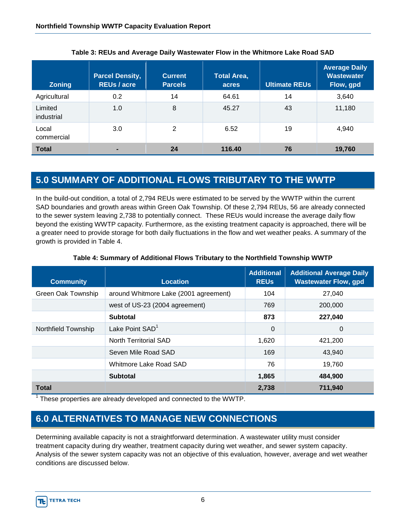| <b>Zoning</b>         | <b>Parcel Density,</b><br><b>REUs / acre</b> | <b>Current</b><br><b>Parcels</b> | <b>Total Area,</b><br>acres | <b>Ultimate REUs</b> | <b>Average Daily</b><br><b>Wastewater</b><br>Flow, gpd |
|-----------------------|----------------------------------------------|----------------------------------|-----------------------------|----------------------|--------------------------------------------------------|
| Agricultural          | 0.2                                          | 14                               | 64.61                       | 14                   | 3,640                                                  |
| Limited<br>industrial | 1.0                                          | 8                                | 45.27                       | 43                   | 11,180                                                 |
| Local<br>commercial   | 3.0                                          | 2                                | 6.52                        | 19                   | 4,940                                                  |
| <b>Total</b>          |                                              | 24                               | 116.40                      | 76                   | 19,760                                                 |

**Table 3: REUs and Average Daily Wastewater Flow in the Whitmore Lake Road SAD** 

#### **5.0 SUMMARY OF ADDITIONAL FLOWS TRIBUTARY TO THE WWTP**

In the build-out condition, a total of 2,794 REUs were estimated to be served by the WWTP within the current SAD boundaries and growth areas within Green Oak Township. Of these 2,794 REUs, 56 are already connected to the sewer system leaving 2,738 to potentially connect. These REUs would increase the average daily flow beyond the existing WWTP capacity. Furthermore, as the existing treatment capacity is approached, there will be a greater need to provide storage for both daily fluctuations in the flow and wet weather peaks. A summary of the growth is provided in Table 4.

| <b>Community</b>    | <b>Location</b>                       | <b>Additional</b><br><b>REUS</b> | <b>Additional Average Daily</b><br><b>Wastewater Flow, gpd</b> |
|---------------------|---------------------------------------|----------------------------------|----------------------------------------------------------------|
| Green Oak Township  | around Whitmore Lake (2001 agreement) | 104                              | 27,040                                                         |
|                     | west of US-23 (2004 agreement)        | 769                              | 200,000                                                        |
|                     | <b>Subtotal</b>                       | 873                              | 227,040                                                        |
| Northfield Township | Lake Point SAD <sup>1</sup>           | $\mathbf 0$                      | 0                                                              |
|                     | North Territorial SAD                 | 1,620                            | 421,200                                                        |
|                     | Seven Mile Road SAD                   | 169                              | 43.940                                                         |
|                     | Whitmore Lake Road SAD                | 76                               | 19,760                                                         |
|                     | <b>Subtotal</b>                       | 1,865                            | 484,900                                                        |
| <b>Total</b>        |                                       | 2,738                            | 711,940                                                        |

#### **Table 4: Summary of Additional Flows Tributary to the Northfield Township WWTP**

 $1$  These properties are already developed and connected to the WWTP.

#### **6.0 ALTERNATIVES TO MANAGE NEW CONNECTIONS**

Determining available capacity is not a straightforward determination. A wastewater utility must consider treatment capacity during dry weather, treatment capacity during wet weather, and sewer system capacity. Analysis of the sewer system capacity was not an objective of this evaluation, however, average and wet weather conditions are discussed below.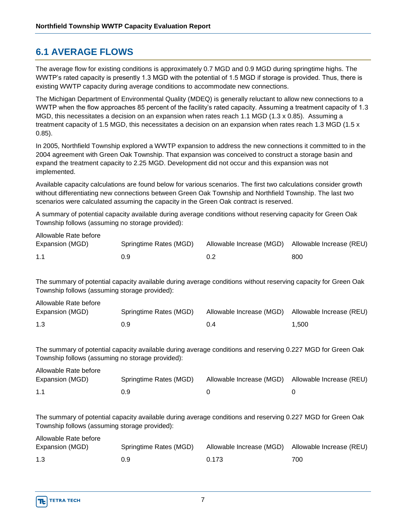#### **6.1 AVERAGE FLOWS**

The average flow for existing conditions is approximately 0.7 MGD and 0.9 MGD during springtime highs. The WWTP's rated capacity is presently 1.3 MGD with the potential of 1.5 MGD if storage is provided. Thus, there is existing WWTP capacity during average conditions to accommodate new connections.

The Michigan Department of Environmental Quality (MDEQ) is generally reluctant to allow new connections to a WWTP when the flow approaches 85 percent of the facility's rated capacity. Assuming a treatment capacity of 1.3 MGD, this necessitates a decision on an expansion when rates reach 1.1 MGD (1.3 x 0.85). Assuming a treatment capacity of 1.5 MGD, this necessitates a decision on an expansion when rates reach 1.3 MGD (1.5 x 0.85).

In 2005, Northfield Township explored a WWTP expansion to address the new connections it committed to in the 2004 agreement with Green Oak Township. That expansion was conceived to construct a storage basin and expand the treatment capacity to 2.25 MGD. Development did not occur and this expansion was not implemented.

Available capacity calculations are found below for various scenarios. The first two calculations consider growth without differentiating new connections between Green Oak Township and Northfield Township. The last two scenarios were calculated assuming the capacity in the Green Oak contract is reserved.

A summary of potential capacity available during average conditions without reserving capacity for Green Oak Township follows (assuming no storage provided):

| Allowable Rate before |                        |                                                   |     |
|-----------------------|------------------------|---------------------------------------------------|-----|
| Expansion (MGD)       | Springtime Rates (MGD) | Allowable Increase (MGD) Allowable Increase (REU) |     |
| 1.1                   | 0.9                    | 0.2                                               | 800 |

The summary of potential capacity available during average conditions without reserving capacity for Green Oak Township follows (assuming storage provided):

| Allowable Rate before |                        |                                                   |       |
|-----------------------|------------------------|---------------------------------------------------|-------|
| Expansion (MGD)       | Springtime Rates (MGD) | Allowable Increase (MGD) Allowable Increase (REU) |       |
| 1.3                   | 0.9                    | 0.4                                               | 1.500 |

The summary of potential capacity available during average conditions and reserving 0.227 MGD for Green Oak Township follows (assuming no storage provided):

| Allowable Rate before |                        |                          |                          |
|-----------------------|------------------------|--------------------------|--------------------------|
| Expansion (MGD)       | Springtime Rates (MGD) | Allowable Increase (MGD) | Allowable Increase (REU) |
| 1.1                   | 0.9                    |                          |                          |

The summary of potential capacity available during average conditions and reserving 0.227 MGD for Green Oak Township follows (assuming storage provided):

| Allowable Rate before |                        |                                                   |     |
|-----------------------|------------------------|---------------------------------------------------|-----|
| Expansion (MGD)       | Springtime Rates (MGD) | Allowable Increase (MGD) Allowable Increase (REU) |     |
| 1.3                   | 0.9                    | 0.173                                             | 700 |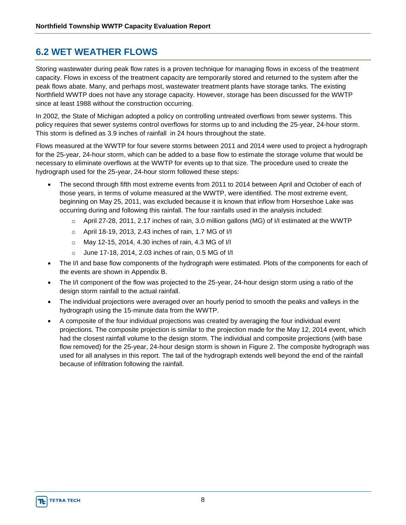#### **6.2 WET WEATHER FLOWS**

Storing wastewater during peak flow rates is a proven technique for managing flows in excess of the treatment capacity. Flows in excess of the treatment capacity are temporarily stored and returned to the system after the peak flows abate. Many, and perhaps most, wastewater treatment plants have storage tanks. The existing Northfield WWTP does not have any storage capacity. However, storage has been discussed for the WWTP since at least 1988 without the construction occurring.

In 2002, the State of Michigan adopted a policy on controlling untreated overflows from sewer systems. This policy requires that sewer systems control overflows for storms up to and including the 25-year, 24-hour storm. This storm is defined as 3.9 inches of rainfall in 24 hours throughout the state.

Flows measured at the WWTP for four severe storms between 2011 and 2014 were used to project a hydrograph for the 25-year, 24-hour storm, which can be added to a base flow to estimate the storage volume that would be necessary to eliminate overflows at the WWTP for events up to that size. The procedure used to create the hydrograph used for the 25-year, 24-hour storm followed these steps:

- The second through fifth most extreme events from 2011 to 2014 between April and October of each of those years, in terms of volume measured at the WWTP, were identified. The most extreme event, beginning on May 25, 2011, was excluded because it is known that inflow from Horseshoe Lake was occurring during and following this rainfall. The four rainfalls used in the analysis included:
	- o April 27-28, 2011, 2.17 inches of rain, 3.0 million gallons (MG) of I/I estimated at the WWTP
	- o April 18-19, 2013, 2.43 inches of rain, 1.7 MG of I/I
	- o May 12-15, 2014, 4.30 inches of rain, 4.3 MG of I/I
	- o June 17-18, 2014, 2.03 inches of rain, 0.5 MG of I/I
- The I/I and base flow components of the hydrograph were estimated. Plots of the components for each of the events are shown in Appendix B.
- The I/I component of the flow was projected to the 25-year, 24-hour design storm using a ratio of the design storm rainfall to the actual rainfall.
- The individual projections were averaged over an hourly period to smooth the peaks and valleys in the hydrograph using the 15-minute data from the WWTP.
- A composite of the four individual projections was created by averaging the four individual event projections. The composite projection is similar to the projection made for the May 12, 2014 event, which had the closest rainfall volume to the design storm. The individual and composite projections (with base flow removed) for the 25-year, 24-hour design storm is shown in Figure 2. The composite hydrograph was used for all analyses in this report. The tail of the hydrograph extends well beyond the end of the rainfall because of infiltration following the rainfall.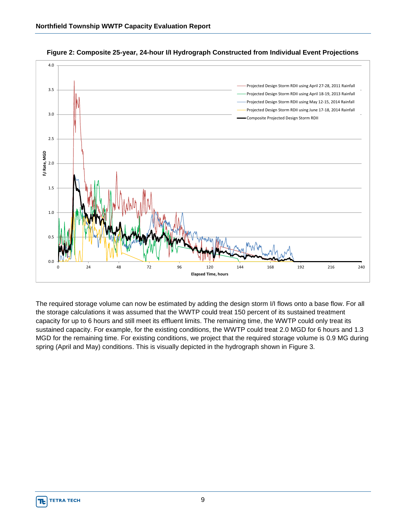

**Figure 2: Composite 25-year, 24-hour I/I Hydrograph Constructed from Individual Event Projections** 

The required storage volume can now be estimated by adding the design storm I/I flows onto a base flow. For all the storage calculations it was assumed that the WWTP could treat 150 percent of its sustained treatment capacity for up to 6 hours and still meet its effluent limits. The remaining time, the WWTP could only treat its sustained capacity. For example, for the existing conditions, the WWTP could treat 2.0 MGD for 6 hours and 1.3 MGD for the remaining time. For existing conditions, we project that the required storage volume is 0.9 MG during spring (April and May) conditions. This is visually depicted in the hydrograph shown in Figure 3.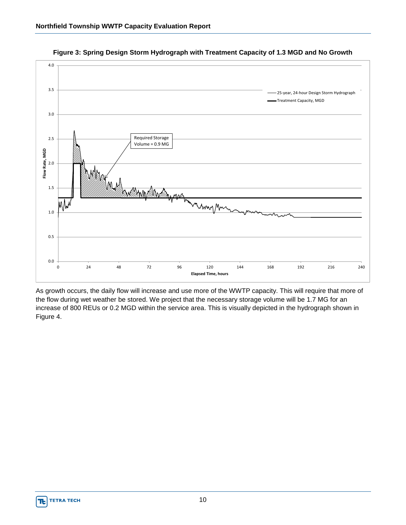

**Figure 3: Spring Design Storm Hydrograph with Treatment Capacity of 1.3 MGD and No Growth** 

As growth occurs, the daily flow will increase and use more of the WWTP capacity. This will require that more of the flow during wet weather be stored. We project that the necessary storage volume will be 1.7 MG for an increase of 800 REUs or 0.2 MGD within the service area. This is visually depicted in the hydrograph shown in Figure 4.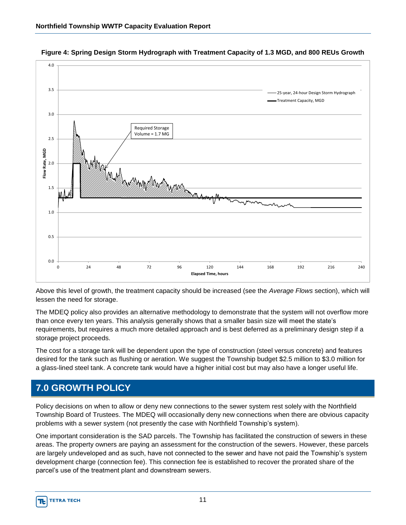

**Figure 4: Spring Design Storm Hydrograph with Treatment Capacity of 1.3 MGD, and 800 REUs Growth** 

Above this level of growth, the treatment capacity should be increased (see the *Average Flows* section), which will lessen the need for storage.

The MDEQ policy also provides an alternative methodology to demonstrate that the system will not overflow more than once every ten years. This analysis generally shows that a smaller basin size will meet the state's requirements, but requires a much more detailed approach and is best deferred as a preliminary design step if a storage project proceeds.

The cost for a storage tank will be dependent upon the type of construction (steel versus concrete) and features desired for the tank such as flushing or aeration. We suggest the Township budget \$2.5 million to \$3.0 million for a glass-lined steel tank. A concrete tank would have a higher initial cost but may also have a longer useful life.

#### **7.0 GROWTH POLICY**

Policy decisions on when to allow or deny new connections to the sewer system rest solely with the Northfield Township Board of Trustees. The MDEQ will occasionally deny new connections when there are obvious capacity problems with a sewer system (not presently the case with Northfield Township's system).

One important consideration is the SAD parcels. The Township has facilitated the construction of sewers in these areas. The property owners are paying an assessment for the construction of the sewers. However, these parcels are largely undeveloped and as such, have not connected to the sewer and have not paid the Township's system development charge (connection fee). This connection fee is established to recover the prorated share of the parcel's use of the treatment plant and downstream sewers.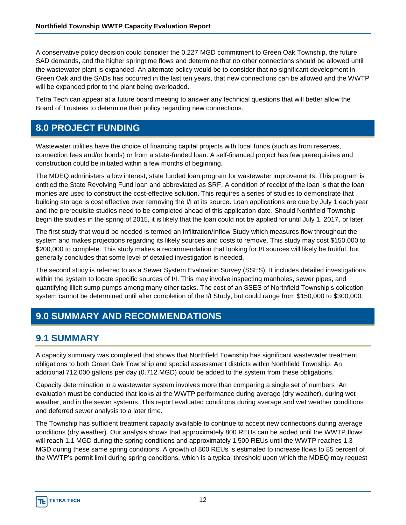A conservative policy decision could consider the 0.227 MGD commitment to Green Oak Township, the future SAD demands, and the higher springtime flows and determine that no other connections should be allowed until the wastewater plant is expanded. An alternate policy would be to consider that no significant development in Green Oak and the SADs has occurred in the last ten years, that new connections can be allowed and the WWTP will be expanded prior to the plant being overloaded.

Tetra Tech can appear at a future board meeting to answer any technical questions that will better allow the Board of Trustees to determine their policy regarding new connections.

#### **8.0 PROJECT FUNDING**

Wastewater utilities have the choice of financing capital projects with local funds (such as from reserves, connection fees and/or bonds) or from a state-funded loan. A self-financed project has few prerequisites and construction could be initiated within a few months of beginning.

The MDEQ administers a low interest, state funded loan program for wastewater improvements. This program is entitled the State Revolving Fund loan and abbreviated as SRF. A condition of receipt of the loan is that the loan monies are used to construct the cost-effective solution. This requires a series of studies to demonstrate that building storage is cost effective over removing the I/I at its source. Loan applications are due by July 1 each year and the prerequisite studies need to be completed ahead of this application date. Should Northfield Township begin the studies in the spring of 2015, it is likely that the loan could not be applied for until July 1, 2017, or later.

The first study that would be needed is termed an Infiltration/Inflow Study which measures flow throughout the system and makes projections regarding its likely sources and costs to remove. This study may cost \$150,000 to \$200,000 to complete. This study makes a recommendation that looking for I/I sources will likely be fruitful, but generally concludes that some level of detailed investigation is needed.

The second study is referred to as a Sewer System Evaluation Survey (SSES). It includes detailed investigations within the system to locate specific sources of I/I. This may involve inspecting manholes, sewer pipes, and quantifying illicit sump pumps among many other tasks. The cost of an SSES of Northfield Township's collection system cannot be determined until after completion of the I/I Study, but could range from \$150,000 to \$300,000.

## **9.0 SUMMARY AND RECOMMENDATIONS**

#### **9.1 SUMMARY**

A capacity summary was completed that shows that Northfield Township has significant wastewater treatment obligations to both Green Oak Township and special assessment districts within Northfield Township. An additional 712,000 gallons per day (0.712 MGD) could be added to the system from these obligations.

Capacity determination in a wastewater system involves more than comparing a single set of numbers. An evaluation must be conducted that looks at the WWTP performance during average (dry weather), during wet weather, and in the sewer systems. This report evaluated conditions during average and wet weather conditions and deferred sewer analysis to a later time.

The Township has sufficient treatment capacity available to continue to accept new connections during average conditions (dry weather). Our analysis shows that approximately 800 REUs can be added until the WWTP flows will reach 1.1 MGD during the spring conditions and approximately 1,500 REUs until the WWTP reaches 1.3 MGD during these same spring conditions. A growth of 800 REUs is estimated to increase flows to 85 percent of the WWTP's permit limit during spring conditions, which is a typical threshold upon which the MDEQ may request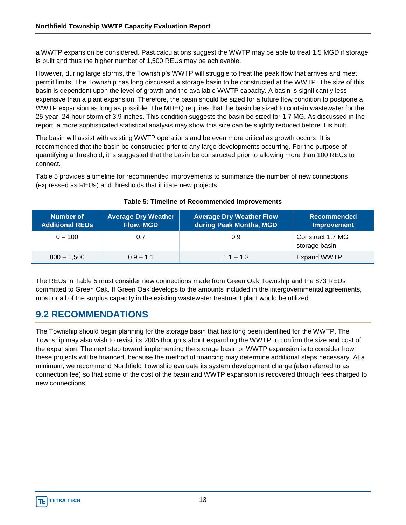a WWTP expansion be considered. Past calculations suggest the WWTP may be able to treat 1.5 MGD if storage is built and thus the higher number of 1,500 REUs may be achievable.

However, during large storms, the Township's WWTP will struggle to treat the peak flow that arrives and meet permit limits. The Township has long discussed a storage basin to be constructed at the WWTP. The size of this basin is dependent upon the level of growth and the available WWTP capacity. A basin is significantly less expensive than a plant expansion. Therefore, the basin should be sized for a future flow condition to postpone a WWTP expansion as long as possible. The MDEQ requires that the basin be sized to contain wastewater for the 25-year, 24-hour storm of 3.9 inches. This condition suggests the basin be sized for 1.7 MG. As discussed in the report, a more sophisticated statistical analysis may show this size can be slightly reduced before it is built.

The basin will assist with existing WWTP operations and be even more critical as growth occurs. It is recommended that the basin be constructed prior to any large developments occurring. For the purpose of quantifying a threshold, it is suggested that the basin be constructed prior to allowing more than 100 REUs to connect.

Table 5 provides a timeline for recommended improvements to summarize the number of new connections (expressed as REUs) and thresholds that initiate new projects.

| <b>Number of</b><br><b>Additional REUs</b> | <b>Average Dry Weather</b><br>Flow, MGD | <b>Average Dry Weather Flow</b><br>during Peak Months, MGD | <b>Recommended</b><br><b>Improvement</b> |
|--------------------------------------------|-----------------------------------------|------------------------------------------------------------|------------------------------------------|
| $0 - 100$                                  | 0.7                                     | 0.9                                                        | Construct 1.7 MG<br>storage basin        |
| $800 - 1,500$                              | $0.9 - 1.1$                             | $1.1 - 1.3$                                                | <b>Expand WWTP</b>                       |

#### **Table 5: Timeline of Recommended Improvements**

The REUs in Table 5 must consider new connections made from Green Oak Township and the 873 REUs committed to Green Oak. If Green Oak develops to the amounts included in the intergovernmental agreements, most or all of the surplus capacity in the existing wastewater treatment plant would be utilized.

#### **9.2 RECOMMENDATIONS**

The Township should begin planning for the storage basin that has long been identified for the WWTP. The Township may also wish to revisit its 2005 thoughts about expanding the WWTP to confirm the size and cost of the expansion. The next step toward implementing the storage basin or WWTP expansion is to consider how these projects will be financed, because the method of financing may determine additional steps necessary. At a minimum, we recommend Northfield Township evaluate its system development charge (also referred to as connection fee) so that some of the cost of the basin and WWTP expansion is recovered through fees charged to new connections.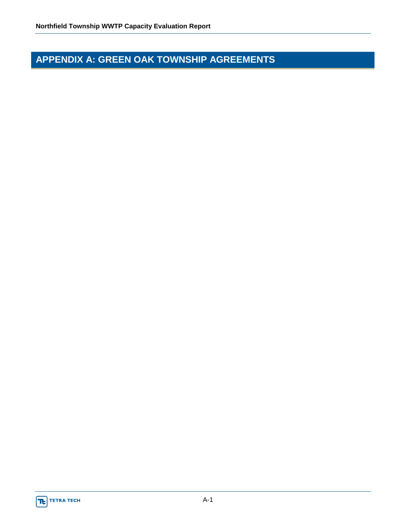## **APPENDIX A: GREEN OAK TOWNSHIP AGREEMENTS**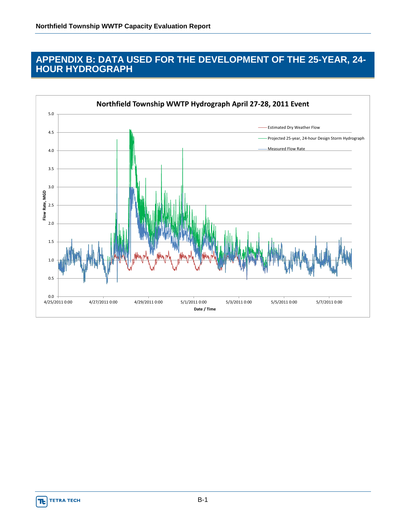#### **APPENDIX B: DATA USED FOR THE DEVELOPMENT OF THE 25-YEAR, 24- HOUR HYDROGRAPH**

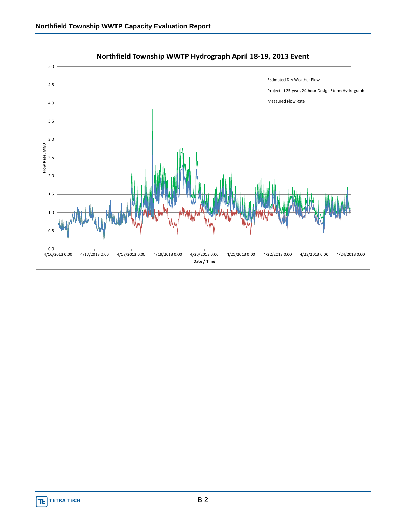

**TE** TETRA TECH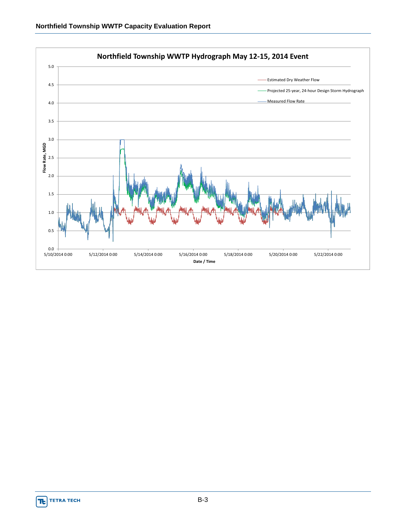

**TE** TETRA TECH